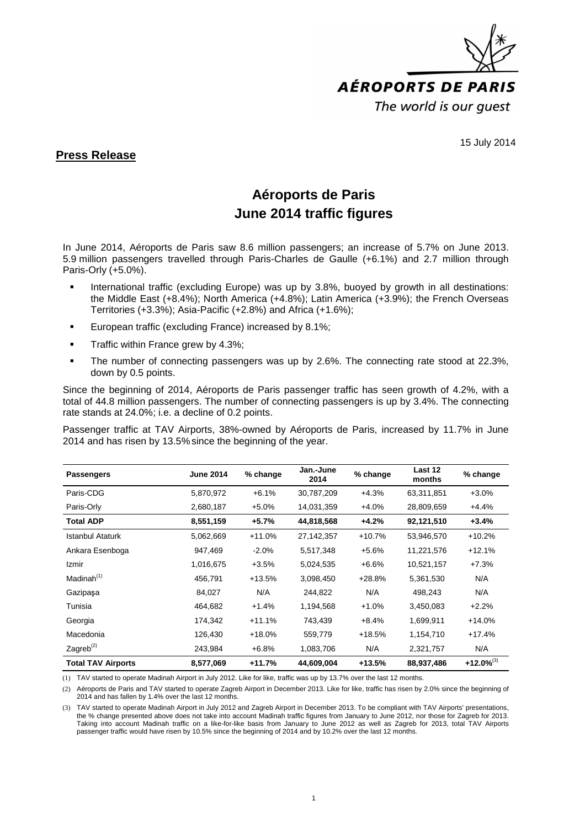

15 July 2014

## **Press Release**

## **Aéroports de Paris June 2014 traffic figures**

In June 2014, Aéroports de Paris saw 8.6 million passengers; an increase of 5.7% on June 2013. 5.9 million passengers travelled through Paris-Charles de Gaulle (+6.1%) and 2.7 million through Paris-Orly (+5.0%).

- International traffic (excluding Europe) was up by 3.8%, buoyed by growth in all destinations: the Middle East (+8.4%); North America (+4.8%); Latin America (+3.9%); the French Overseas Territories (+3.3%); Asia-Pacific (+2.8%) and Africa (+1.6%);
- **European traffic (excluding France) increased by 8.1%;**
- $\blacksquare$  Traffic within France grew by 4.3%;
- The number of connecting passengers was up by 2.6%. The connecting rate stood at 22.3%, down by 0.5 points.

Since the beginning of 2014, Aéroports de Paris passenger traffic has seen growth of 4.2%, with a total of 44.8 million passengers. The number of connecting passengers is up by 3.4%. The connecting rate stands at 24.0%; i.e. a decline of 0.2 points.

Passenger traffic at TAV Airports, 38%-owned by Aéroports de Paris, increased by 11.7% in June 2014 and has risen by 13.5%since the beginning of the year.

| <b>Passengers</b>         | <b>June 2014</b> | % change | Jan.-June<br>2014 | % change | Last 12<br>months | % change        |
|---------------------------|------------------|----------|-------------------|----------|-------------------|-----------------|
| Paris-CDG                 | 5,870,972        | $+6.1%$  | 30,787,209        | $+4.3%$  | 63,311,851        | $+3.0%$         |
| Paris-Orly                | 2,680,187        | $+5.0%$  | 14,031,359        | $+4.0%$  | 28,809,659        | $+4.4%$         |
| <b>Total ADP</b>          | 8,551,159        | $+5.7%$  | 44,818,568        | $+4.2%$  | 92,121,510        | $+3.4%$         |
| <b>Istanbul Ataturk</b>   | 5,062,669        | $+11.0%$ | 27, 142, 357      | $+10.7%$ | 53,946,570        | $+10.2%$        |
| Ankara Esenboga           | 947,469          | $-2.0%$  | 5,517,348         | $+5.6%$  | 11,221,576        | $+12.1%$        |
| Izmir                     | 1,016,675        | $+3.5%$  | 5,024,535         | $+6.6%$  | 10,521,157        | $+7.3%$         |
| Madinah $(1)$             | 456,791          | $+13.5%$ | 3,098,450         | $+28.8%$ | 5,361,530         | N/A             |
| Gazipaşa                  | 84,027           | N/A      | 244,822           | N/A      | 498,243           | N/A             |
| Tunisia                   | 464,682          | $+1.4%$  | 1,194,568         | $+1.0%$  | 3,450,083         | $+2.2%$         |
| Georgia                   | 174,342          | $+11.1%$ | 743,439           | $+8.4%$  | 1,699,911         | $+14.0%$        |
| Macedonia                 | 126,430          | $+18.0%$ | 559,779           | $+18.5%$ | 1,154,710         | $+17.4%$        |
| Zagreb $^{(2)}$           | 243,984          | $+6.8%$  | 1,083,706         | N/A      | 2,321,757         | N/A             |
| <b>Total TAV Airports</b> | 8,577,069        | $+11.7%$ | 44,609,004        | $+13.5%$ | 88,937,486        | $+12.0\%^{(3)}$ |

(1) TAV started to operate Madinah Airport in July 2012. Like for like, traffic was up by 13.7% over the last 12 months.

(2) Aéroports de Paris and TAV started to operate Zagreb Airport in December 2013. Like for like, traffic has risen by 2.0% since the beginning of 2014 and has fallen by 1.4% over the last 12 months.

(3) TAV started to operate Madinah Airport in July 2012 and Zagreb Airport in December 2013. To be compliant with TAV Airports' presentations, the % change presented above does not take into account Madinah traffic figures from January to June 2012, nor those for Zagreb for 2013. Taking into account Madinah traffic on a like-for-like basis from January to June 2012 as well as Zagreb for 2013, total TAV Airports passenger traffic would have risen by 10.5% since the beginning of 2014 and by 10.2% over the last 12 months.